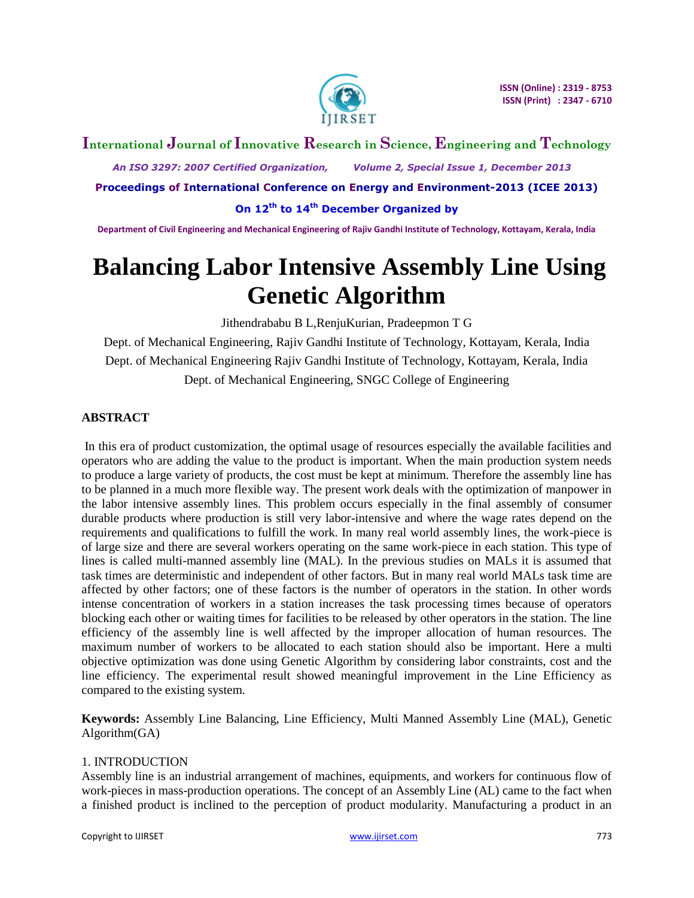

# **International Journal of Innovative Research in Science, Engineering and Technology**

 *An ISO 3297: 2007 Certified Organization, Volume 2, Special Issue 1, December 2013*

**Proceedings of International Conference on Energy and Environment-2013 (ICEE 2013)**

**On 12th to 14th December Organized by**

**Department of Civil Engineering and Mechanical Engineering of Rajiv Gandhi Institute of Technology, Kottayam, Kerala, India**

# **Balancing Labor Intensive Assembly Line Using Genetic Algorithm**

Jithendrababu B L,RenjuKurian, Pradeepmon T G

Dept. of Mechanical Engineering, Rajiv Gandhi Institute of Technology, Kottayam, Kerala, India Dept. of Mechanical Engineering Rajiv Gandhi Institute of Technology, Kottayam, Kerala, India Dept. of Mechanical Engineering, SNGC College of Engineering

## **ABSTRACT**

In this era of product customization, the optimal usage of resources especially the available facilities and operators who are adding the value to the product is important. When the main production system needs to produce a large variety of products, the cost must be kept at minimum. Therefore the assembly line has to be planned in a much more flexible way. The present work deals with the optimization of manpower in the labor intensive assembly lines. This problem occurs especially in the final assembly of consumer durable products where production is still very labor-intensive and where the wage rates depend on the requirements and qualifications to fulfill the work. In many real world assembly lines, the work-piece is of large size and there are several workers operating on the same work-piece in each station. This type of lines is called multi-manned assembly line (MAL). In the previous studies on MALs it is assumed that task times are deterministic and independent of other factors. But in many real world MALs task time are affected by other factors; one of these factors is the number of operators in the station. In other words intense concentration of workers in a station increases the task processing times because of operators blocking each other or waiting times for facilities to be released by other operators in the station. The line efficiency of the assembly line is well affected by the improper allocation of human resources. The maximum number of workers to be allocated to each station should also be important. Here a multi objective optimization was done using Genetic Algorithm by considering labor constraints, cost and the line efficiency. The experimental result showed meaningful improvement in the Line Efficiency as compared to the existing system.

**Keywords:** Assembly Line Balancing, Line Efficiency, Multi Manned Assembly Line (MAL), Genetic Algorithm(GA)

### 1. INTRODUCTION

Assembly line is an industrial arrangement of machines, equipments, and workers for continuous flow of work-pieces in mass-production operations. The concept of an Assembly Line (AL) came to the fact when a finished product is inclined to the perception of product modularity. Manufacturing a product in an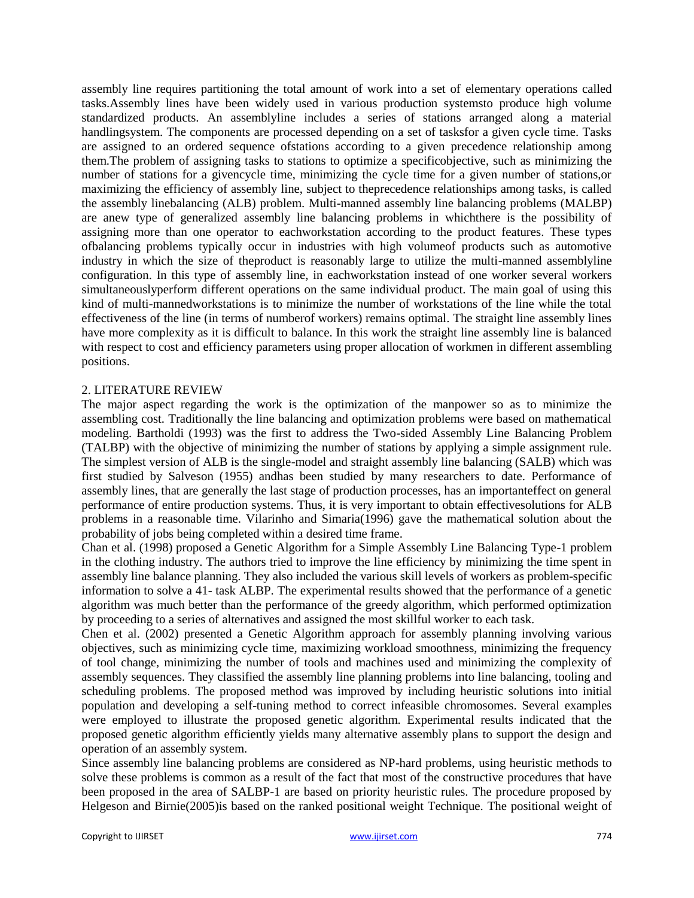assembly line requires partitioning the total amount of work into a set of elementary operations called tasks.Assembly lines have been widely used in various production systemsto produce high volume standardized products. An assemblyline includes a series of stations arranged along a material handlingsystem. The components are processed depending on a set of tasksfor a given cycle time. Tasks are assigned to an ordered sequence ofstations according to a given precedence relationship among them.The problem of assigning tasks to stations to optimize a specificobjective, such as minimizing the number of stations for a givencycle time, minimizing the cycle time for a given number of stations,or maximizing the efficiency of assembly line, subject to theprecedence relationships among tasks, is called the assembly linebalancing (ALB) problem. Multi-manned assembly line balancing problems (MALBP) are anew type of generalized assembly line balancing problems in whichthere is the possibility of assigning more than one operator to eachworkstation according to the product features. These types ofbalancing problems typically occur in industries with high volumeof products such as automotive industry in which the size of theproduct is reasonably large to utilize the multi-manned assemblyline configuration. In this type of assembly line, in eachworkstation instead of one worker several workers simultaneouslyperform different operations on the same individual product. The main goal of using this kind of multi-mannedworkstations is to minimize the number of workstations of the line while the total effectiveness of the line (in terms of numberof workers) remains optimal. The straight line assembly lines have more complexity as it is difficult to balance. In this work the straight line assembly line is balanced with respect to cost and efficiency parameters using proper allocation of workmen in different assembling positions.

#### 2. LITERATURE REVIEW

The major aspect regarding the work is the optimization of the manpower so as to minimize the assembling cost. Traditionally the line balancing and optimization problems were based on mathematical modeling. Bartholdi (1993) was the first to address the Two-sided Assembly Line Balancing Problem (TALBP) with the objective of minimizing the number of stations by applying a simple assignment rule. The simplest version of ALB is the single-model and straight assembly line balancing (SALB) which was first studied by Salveson (1955) andhas been studied by many researchers to date. Performance of assembly lines, that are generally the last stage of production processes, has an importanteffect on general performance of entire production systems. Thus, it is very important to obtain effectivesolutions for ALB problems in a reasonable time. Vilarinho and Simaria(1996) gave the mathematical solution about the probability of jobs being completed within a desired time frame.

Chan et al. (1998) proposed a Genetic Algorithm for a Simple Assembly Line Balancing Type-1 problem in the clothing industry. The authors tried to improve the line efficiency by minimizing the time spent in assembly line balance planning. They also included the various skill levels of workers as problem-specific information to solve a 41- task ALBP. The experimental results showed that the performance of a genetic algorithm was much better than the performance of the greedy algorithm, which performed optimization by proceeding to a series of alternatives and assigned the most skillful worker to each task.

Chen et al. (2002) presented a Genetic Algorithm approach for assembly planning involving various objectives, such as minimizing cycle time, maximizing workload smoothness, minimizing the frequency of tool change, minimizing the number of tools and machines used and minimizing the complexity of assembly sequences. They classified the assembly line planning problems into line balancing, tooling and scheduling problems. The proposed method was improved by including heuristic solutions into initial population and developing a self-tuning method to correct infeasible chromosomes. Several examples were employed to illustrate the proposed genetic algorithm. Experimental results indicated that the proposed genetic algorithm efficiently yields many alternative assembly plans to support the design and operation of an assembly system.

Since assembly line balancing problems are considered as NP-hard problems, using heuristic methods to solve these problems is common as a result of the fact that most of the constructive procedures that have been proposed in the area of SALBP-1 are based on priority heuristic rules. The procedure proposed by Helgeson and Birnie(2005)is based on the ranked positional weight Technique. The positional weight of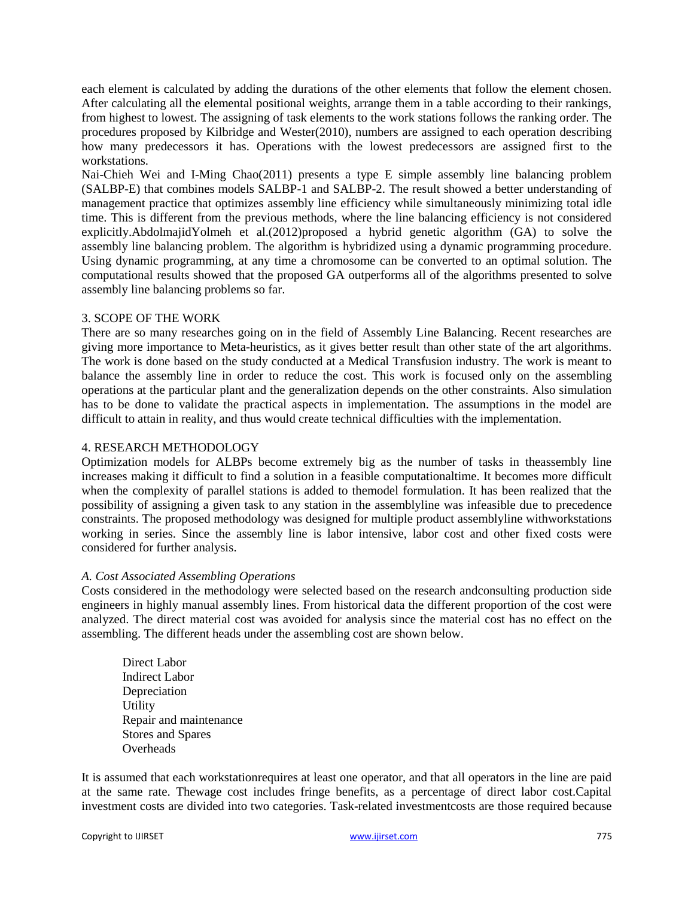each element is calculated by adding the durations of the other elements that follow the element chosen. After calculating all the elemental positional weights, arrange them in a table according to their rankings, from highest to lowest. The assigning of task elements to the work stations follows the ranking order. The procedures proposed by Kilbridge and Wester(2010), numbers are assigned to each operation describing how many predecessors it has. Operations with the lowest predecessors are assigned first to the workstations.

Nai-Chieh Wei and I-Ming Chao(2011) presents a type E simple assembly line balancing problem (SALBP-E) that combines models SALBP-1 and SALBP-2. The result showed a better understanding of management practice that optimizes assembly line efficiency while simultaneously minimizing total idle time. This is different from the previous methods, where the line balancing efficiency is not considered explicitly.AbdolmajidYolmeh et al.(2012)proposed a hybrid genetic algorithm (GA) to solve the assembly line balancing problem. The algorithm is hybridized using a dynamic programming procedure. Using dynamic programming, at any time a chromosome can be converted to an optimal solution. The computational results showed that the proposed GA outperforms all of the algorithms presented to solve assembly line balancing problems so far.

## 3. SCOPE OF THE WORK

There are so many researches going on in the field of Assembly Line Balancing. Recent researches are giving more importance to Meta-heuristics, as it gives better result than other state of the art algorithms. The work is done based on the study conducted at a Medical Transfusion industry. The work is meant to balance the assembly line in order to reduce the cost. This work is focused only on the assembling operations at the particular plant and the generalization depends on the other constraints. Also simulation has to be done to validate the practical aspects in implementation. The assumptions in the model are difficult to attain in reality, and thus would create technical difficulties with the implementation.

#### 4. RESEARCH METHODOLOGY

Optimization models for ALBPs become extremely big as the number of tasks in theassembly line increases making it difficult to find a solution in a feasible computationaltime. It becomes more difficult when the complexity of parallel stations is added to themodel formulation. It has been realized that the possibility of assigning a given task to any station in the assemblyline was infeasible due to precedence constraints. The proposed methodology was designed for multiple product assemblyline withworkstations working in series. Since the assembly line is labor intensive, labor cost and other fixed costs were considered for further analysis.

### *A. Cost Associated Assembling Operations*

Costs considered in the methodology were selected based on the research andconsulting production side engineers in highly manual assembly lines. From historical data the different proportion of the cost were analyzed. The direct material cost was avoided for analysis since the material cost has no effect on the assembling. The different heads under the assembling cost are shown below.

Direct Labor Indirect Labor Depreciation Utility Repair and maintenance Stores and Spares **Overheads** 

It is assumed that each workstationrequires at least one operator, and that all operators in the line are paid at the same rate. Thewage cost includes fringe benefits, as a percentage of direct labor cost.Capital investment costs are divided into two categories. Task-related investmentcosts are those required because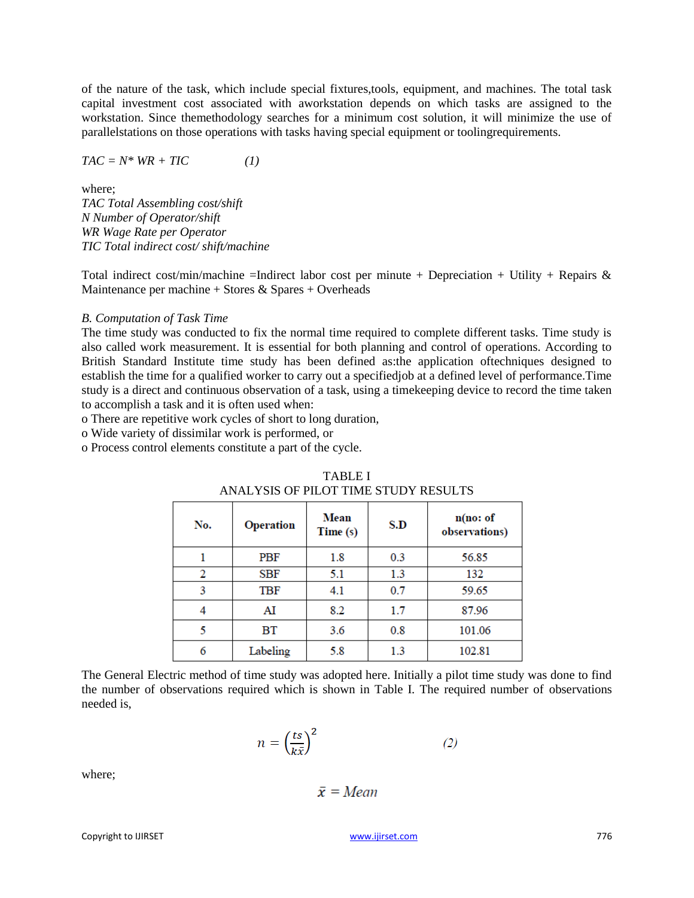of the nature of the task, which include special fixtures,tools, equipment, and machines. The total task capital investment cost associated with aworkstation depends on which tasks are assigned to the workstation. Since themethodology searches for a minimum cost solution, it will minimize the use of parallelstations on those operations with tasks having special equipment or toolingrequirements.

$$
TAC = N^* WR + TIC \tag{1}
$$

where;

*TAC Total Assembling cost/shift N Number of Operator/shift WR Wage Rate per Operator TIC Total indirect cost/ shift/machine* 

Total indirect cost/min/machine =Indirect labor cost per minute + Depreciation + Utility + Repairs  $\&$ Maintenance per machine  $+$  Stores & Spares  $+$  Overheads

#### *B. Computation of Task Time*

The time study was conducted to fix the normal time required to complete different tasks. Time study is also called work measurement. It is essential for both planning and control of operations. According to British Standard Institute time study has been defined as:the application oftechniques designed to establish the time for a qualified worker to carry out a specifiedjob at a defined level of performance.Time study is a direct and continuous observation of a task, using a timekeeping device to record the time taken to accomplish a task and it is often used when:

o There are repetitive work cycles of short to long duration,

o Wide variety of dissimilar work is performed, or

o Process control elements constitute a part of the cycle.

| No. | <b>Operation</b> | Mean<br>Time (s) | S.D | n(no: of<br>observations) |  |
|-----|------------------|------------------|-----|---------------------------|--|
|     | <b>PBF</b>       | 1.8              | 0.3 | 56.85                     |  |
| 2   | SBF              | 5.1              | 1.3 | 132                       |  |
| 3   | TBF              | 4.1              | 0.7 | 59.65                     |  |
| 4   | AI               | 8.2              | 1.7 | 87.96                     |  |
| 5   | ВT               | 3.6              | 0.8 | 101.06                    |  |
| 6   | Labeling         | 5.8              | 1.3 | 102.81                    |  |

| TABLE I                              |
|--------------------------------------|
| ANALYSIS OF PILOT TIME STUDY RESULTS |

The General Electric method of time study was adopted here. Initially a pilot time study was done to find the number of observations required which is shown in Table I. The required number of observations needed is,

$$
n = \left(\frac{ts}{k\bar{x}}\right)^2\tag{2}
$$

where;

 $\bar{x}$  = Mean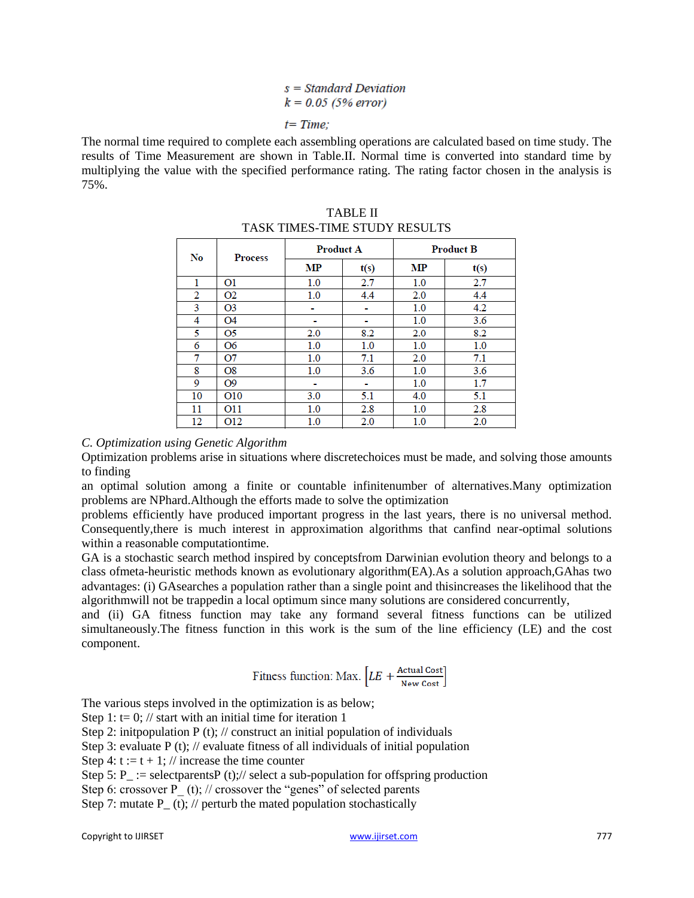# $s = Standard Deviation$  $k = 0.05$  (5% error)  $t = Time$

The normal time required to complete each assembling operations are calculated based on time study. The results of Time Measurement are shown in Table.II. Normal time is converted into standard time by multiplying the value with the specified performance rating. The rating factor chosen in the analysis is 75%.

| No | <b>Process</b>  | <b>Product A</b> |      | <b>Product B</b> |         |  |  |
|----|-----------------|------------------|------|------------------|---------|--|--|
|    |                 | <b>MP</b>        | t(s) | MP               | t(s)    |  |  |
| 1  | O <sub>1</sub>  | 1.0              | 2.7  | 1.0              | 2.7     |  |  |
| 2  | O <sub>2</sub>  | 1.0              | 4.4  | 2.0              | 4.4     |  |  |
| 3  | O <sub>3</sub>  | -                | ٠    | 1.0              | 4.2     |  |  |
| 4  | <b>O4</b>       |                  |      | 1.0              | 3.6     |  |  |
| 5  | O5              | 2.0              | 8.2  | 2.0              | 8.2     |  |  |
| 6  | O <sub>6</sub>  | 1.0              | 1.0  | 1.0              | $1.0\,$ |  |  |
| 7  | Ο7              | 1.0              | 7.1  | 2.0              | 7.1     |  |  |
| 8  | O8              | 1.0              | 3.6  | 1.0              | 3.6     |  |  |
| 9  | O <sub>9</sub>  | $\sim$           | ۰    | 1.0              | 1.7     |  |  |
| 10 | O <sub>10</sub> | 3.0              | 5.1  | 4.0              | 5.1     |  |  |
| 11 | O11             | 1.0              | 2.8  | 1.0              | 2.8     |  |  |
| 12 | O12             | 1.0              | 2.0  | 1.0              | 2.0     |  |  |

TABLE II TASK TIMES-TIME STUDY RESULTS

## *C. Optimization using Genetic Algorithm*

Optimization problems arise in situations where discretechoices must be made, and solving those amounts to finding

an optimal solution among a finite or countable infinitenumber of alternatives.Many optimization problems are NPhard.Although the efforts made to solve the optimization

problems efficiently have produced important progress in the last years, there is no universal method. Consequently,there is much interest in approximation algorithms that canfind near-optimal solutions within a reasonable computationtime.

GA is a stochastic search method inspired by conceptsfrom Darwinian evolution theory and belongs to a class ofmeta-heuristic methods known as evolutionary algorithm(EA).As a solution approach,GAhas two advantages: (i) GAsearches a population rather than a single point and thisincreases the likelihood that the algorithmwill not be trappedin a local optimum since many solutions are considered concurrently,

and (ii) GA fitness function may take any formand several fitness functions can be utilized simultaneously.The fitness function in this work is the sum of the line efficiency (LE) and the cost component.

$$
\text{Fitness function: } \text{Max.} \left[ LE + \frac{\text{Actual Cost}}{\text{New Cost}} \right]
$$

The various steps involved in the optimization is as below;

- Step 1: t= 0; // start with an initial time for iteration 1
- Step 2: initpopulation  $P(t)$ ; // construct an initial population of individuals
- Step 3: evaluate  $P(t)$ ; // evaluate fitness of all individuals of initial population
- Step 4:  $t := t + 1$ ; // increase the time counter
- Step 5: P := selectparentsP (t);// select a sub-population for offspring production
- Step 6: crossover P  $(t)$ ; // crossover the "genes" of selected parents
- Step 7: mutate  $P_ (t)$ ; // perturb the mated population stochastically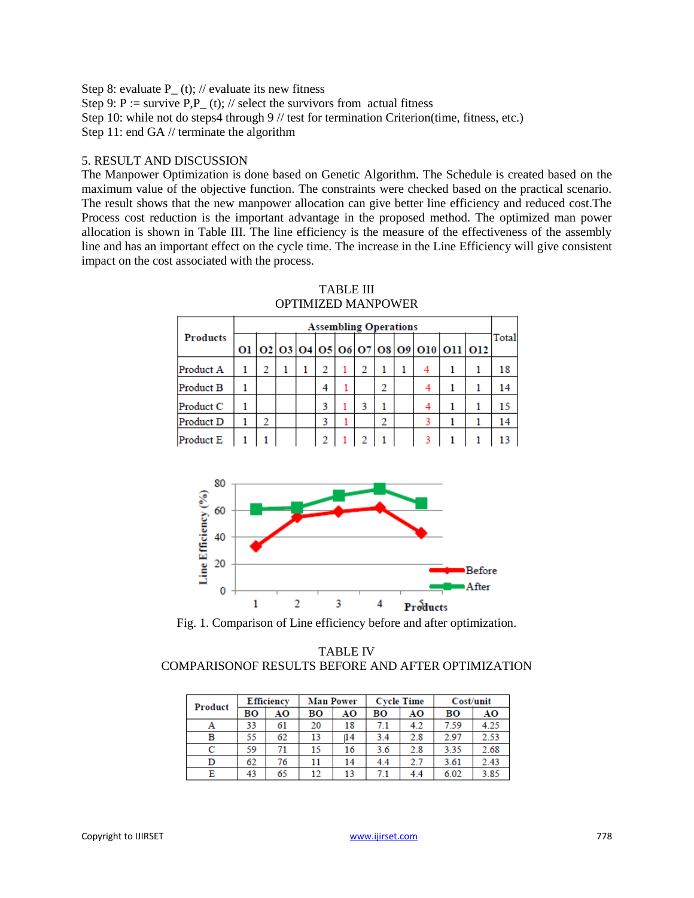Step 8: evaluate P  $(t)$ ; // evaluate its new fitness Step 9: P := survive  $P, P_-(t)$ ; // select the survivors from actual fitness Step 10: while not do steps4 through 9 // test for termination Criterion(time, fitness, etc.) Step 11: end GA // terminate the algorithm

#### 5. RESULT AND DISCUSSION

The Manpower Optimization is done based on Genetic Algorithm. The Schedule is created based on the maximum value of the objective function. The constraints were checked based on the practical scenario. The result shows that the new manpower allocation can give better line efficiency and reduced cost.The Process cost reduction is the important advantage in the proposed method. The optimized man power allocation is shown in Table III. The line efficiency is the measure of the effectiveness of the assembly line and has an important effect on the cycle time. The increase in the Line Efficiency will give consistent impact on the cost associated with the process.

|                 | <b>Assembling Operations</b> |  |  |  |   |  |  |   |  |   |                                        |       |
|-----------------|------------------------------|--|--|--|---|--|--|---|--|---|----------------------------------------|-------|
| <b>Products</b> |                              |  |  |  |   |  |  |   |  |   | 01 02 03 04 05 06 07 08 09 010 011 012 | Total |
| Product A       |                              |  |  |  | 2 |  |  |   |  | 4 |                                        | 18    |
| Product B       |                              |  |  |  | 4 |  |  | າ |  |   |                                        | 14    |
| Product C       |                              |  |  |  | ٦ |  |  |   |  |   |                                        | 15    |
| Product D       |                              |  |  |  | 3 |  |  | 2 |  |   |                                        | 14    |
| Product E       |                              |  |  |  |   |  |  |   |  |   |                                        |       |

| TABLE III          |
|--------------------|
| OPTIMIZED MANPOWER |



Fig. 1. Comparison of Line efficiency before and after optimization.

TABLE IV COMPARISONOF RESULTS BEFORE AND AFTER OPTIMIZATION

| Product | <b>Efficiency</b> |    |    | <b>Man Power</b> |     | <b>Cycle Time</b> | Cost/unit |      |  |
|---------|-------------------|----|----|------------------|-----|-------------------|-----------|------|--|
|         | BО                | AΟ | BО | AO               | BO  | AΟ                | BО        | AO   |  |
| Α       | 33                | 61 | 20 | 18               | 7.1 | 4.2               | 7.59      | 4.25 |  |
| в       | 55                | 62 | 13 | 14               | 3.4 | 2.8               | 2.97      | 2.53 |  |
| с       | 59                | 71 | 15 | 16               | 3.6 | 2.8               | 3.35      | 2.68 |  |
| D       | 62                | 76 | 11 | 14               | 4.4 | 2.7               | 3.61      | 2.43 |  |
| Ε       | 43                | 65 | 12 | 13               | 7.1 | 4.4               | 6.02      | 3.85 |  |